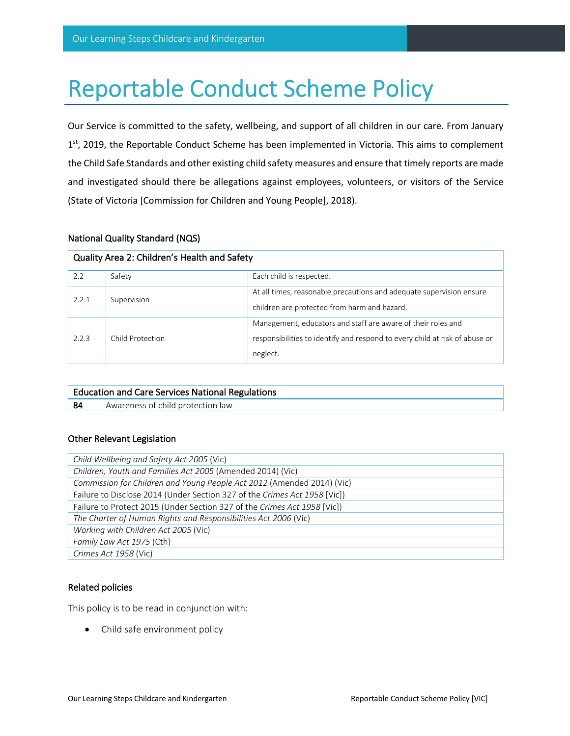# Reportable Conduct Scheme Policy

Our Service is committed to the safety, wellbeing, and support of all children in our care. From January 1<sup>st</sup>, 2019, the Reportable Conduct Scheme has been implemented in Victoria. This aims to complement the Child Safe Standards and other existing child safety measures and ensure that timely reports are made and investigated should there be allegations against employees, volunteers, or visitors of the Service (State of Victoria [Commission for Children and Young People], 2018).

## National Quality Standard (NQS)

| Quality Area 2: Children's Health and Safety |                  |                                                                                                                                                         |  |  |
|----------------------------------------------|------------------|---------------------------------------------------------------------------------------------------------------------------------------------------------|--|--|
| 2.2                                          | Safety           | Each child is respected.                                                                                                                                |  |  |
| 2.2.1                                        | Supervision      | At all times, reasonable precautions and adequate supervision ensure<br>children are protected from harm and hazard.                                    |  |  |
| 2.2.3                                        | Child Protection | Management, educators and staff are aware of their roles and<br>responsibilities to identify and respond to every child at risk of abuse or<br>neglect. |  |  |

| <b>Education and Care Services National Regulations</b> |                                   |  |  |  |
|---------------------------------------------------------|-----------------------------------|--|--|--|
| 84                                                      | Awareness of child protection law |  |  |  |

## Other Relevant Legislation

| Child Wellbeing and Safety Act 2005 (Vic)                                 |  |  |  |  |
|---------------------------------------------------------------------------|--|--|--|--|
| Children, Youth and Families Act 2005 (Amended 2014) (Vic)                |  |  |  |  |
| Commission for Children and Young People Act 2012 (Amended 2014) (Vic)    |  |  |  |  |
| Failure to Disclose 2014 (Under Section 327 of the Crimes Act 1958 [Vic]) |  |  |  |  |
| Failure to Protect 2015 (Under Section 327 of the Crimes Act 1958 [Vic])  |  |  |  |  |
| The Charter of Human Rights and Responsibilities Act 2006 (Vic)           |  |  |  |  |
| Working with Children Act 2005 (Vic)                                      |  |  |  |  |
| Family Law Act 1975 (Cth)                                                 |  |  |  |  |
| Crimes Act 1958 (Vic)                                                     |  |  |  |  |

## Related policies

This policy is to be read in conjunction with:

• Child safe environment policy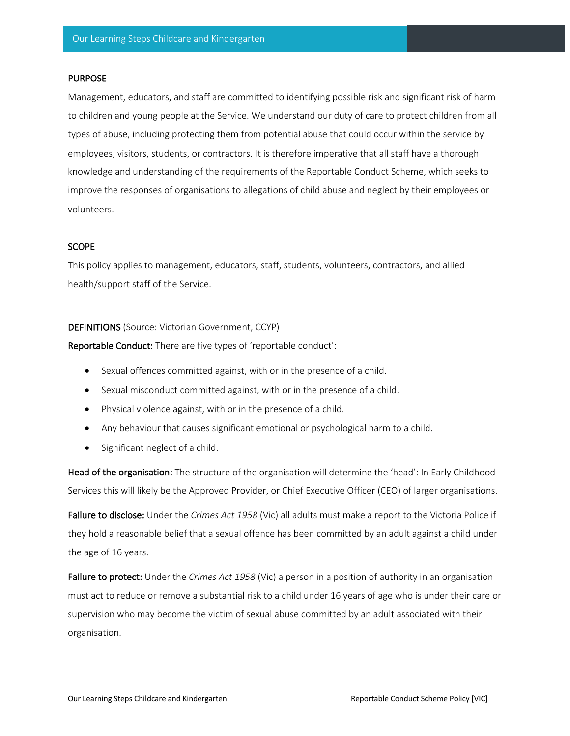#### PURPOSE

Management, educators, and staff are committed to identifying possible risk and significant risk of harm to children and young people at the Service. We understand our duty of care to protect children from all types of abuse, including protecting them from potential abuse that could occur within the service by employees, visitors, students, or contractors. It is therefore imperative that all staff have a thorough knowledge and understanding of the requirements of the Reportable Conduct Scheme, which seeks to improve the responses of organisations to allegations of child abuse and neglect by their employees or volunteers.

#### **SCOPE**

This policy applies to management, educators, staff, students, volunteers, contractors, and allied health/support staff of the Service.

#### DEFINITIONS (Source: Victorian Government, CCYP)

Reportable Conduct: There are five types of 'reportable conduct':

- Sexual offences committed against, with or in the presence of a child.
- Sexual misconduct committed against, with or in the presence of a child.
- Physical violence against, with or in the presence of a child.
- Any behaviour that causes significant emotional or psychological harm to a child.
- Significant neglect of a child.

Head of the organisation: The structure of the organisation will determine the 'head': In Early Childhood Services this will likely be the Approved Provider, or Chief Executive Officer (CEO) of larger organisations.

Failure to disclose: Under the *Crimes Act 1958* (Vic) all adults must make a report to the Victoria Police if they hold a reasonable belief that a sexual offence has been committed by an adult against a child under the age of 16 years.

Failure to protect: Under the *Crimes Act 1958* (Vic) a person in a position of authority in an organisation must act to reduce or remove a substantial risk to a child under 16 years of age who is under their care or supervision who may become the victim of sexual abuse committed by an adult associated with their organisation.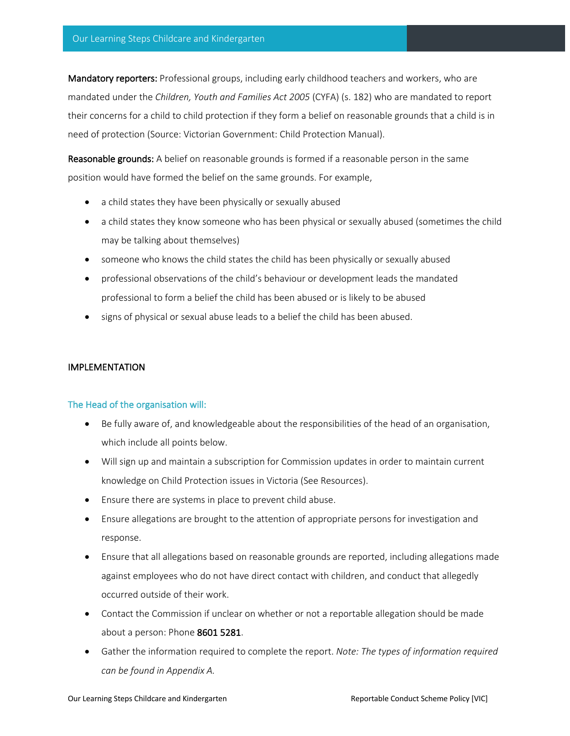Mandatory reporters: Professional groups, including early childhood teachers and workers, who are mandated under the *Children, Youth and Families Act 2005* (CYFA) (s. 182) who are mandated to report their concerns for a child to child protection if they form a belief on reasonable grounds that a child is in need of protection (Source: Victorian Government: Child Protection Manual).

Reasonable grounds: A belief on reasonable grounds is formed if a reasonable person in the same position would have formed the belief on the same grounds. For example,

- a child states they have been physically or sexually abused
- a child states they know someone who has been physical or sexually abused (sometimes the child may be talking about themselves)
- someone who knows the child states the child has been physically or sexually abused
- professional observations of the child's behaviour or development leads the mandated professional to form a belief the child has been abused or is likely to be abused
- signs of physical or sexual abuse leads to a belief the child has been abused.

# IMPLEMENTATION

## The Head of the organisation will:

- Be fully aware of, and knowledgeable about the responsibilities of the head of an organisation, which include all points below.
- Will sign up and maintain a subscription for Commission updates in order to maintain current knowledge on Child Protection issues in Victoria (See Resources).
- Ensure there are systems in place to prevent child abuse.
- Ensure allegations are brought to the attention of appropriate persons for investigation and response.
- Ensure that all allegations based on reasonable grounds are reported, including allegations made against employees who do not have direct contact with children, and conduct that allegedly occurred outside of their work.
- Contact the Commission if unclear on whether or not a reportable allegation should be made about a person: Phone 8601 5281.
- Gather the information required to complete the report. *Note: The types of information required can be found in Appendix A.*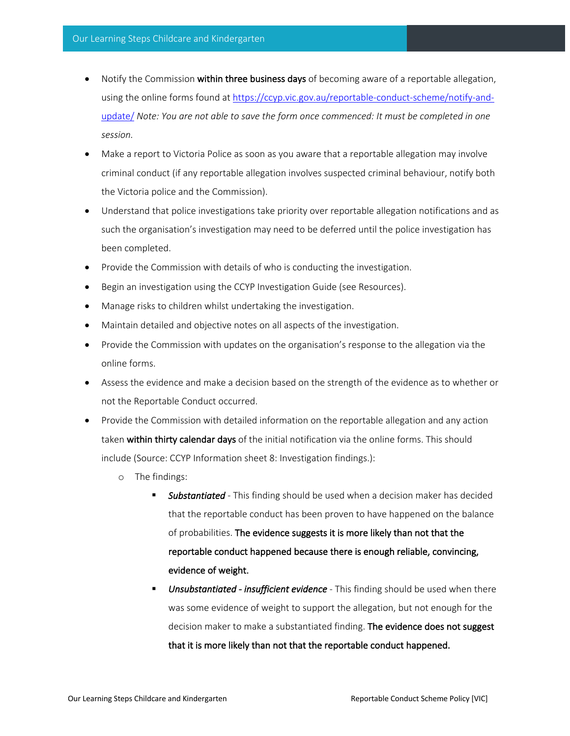- Notify the Commission within three business days of becoming aware of a reportable allegation, using the online forms found at https://ccyp.vic.gov.au/reportable-conduct-scheme/notify-andupdate/ *Note: You are not able to save the form once commenced: It must be completed in one session.*
- Make a report to Victoria Police as soon as you aware that a reportable allegation may involve criminal conduct (if any reportable allegation involves suspected criminal behaviour, notify both the Victoria police and the Commission).
- Understand that police investigations take priority over reportable allegation notifications and as such the organisation's investigation may need to be deferred until the police investigation has been completed.
- Provide the Commission with details of who is conducting the investigation.
- Begin an investigation using the CCYP Investigation Guide (see Resources).
- Manage risks to children whilst undertaking the investigation.
- Maintain detailed and objective notes on all aspects of the investigation.
- Provide the Commission with updates on the organisation's response to the allegation via the online forms.
- Assess the evidence and make a decision based on the strength of the evidence as to whether or not the Reportable Conduct occurred.
- Provide the Commission with detailed information on the reportable allegation and any action taken within thirty calendar days of the initial notification via the online forms. This should include (Source: CCYP Information sheet 8: Investigation findings.):
	- o The findings:
		- § *Substantiated -* This finding should be used when a decision maker has decided that the reportable conduct has been proven to have happened on the balance of probabilities. The evidence suggests it is more likely than not that the reportable conduct happened because there is enough reliable, convincing, evidence of weight.
		- § *Unsubstantiated insufficient evidence* This finding should be used when there was some evidence of weight to support the allegation, but not enough for the decision maker to make a substantiated finding. The evidence does not suggest that it is more likely than not that the reportable conduct happened.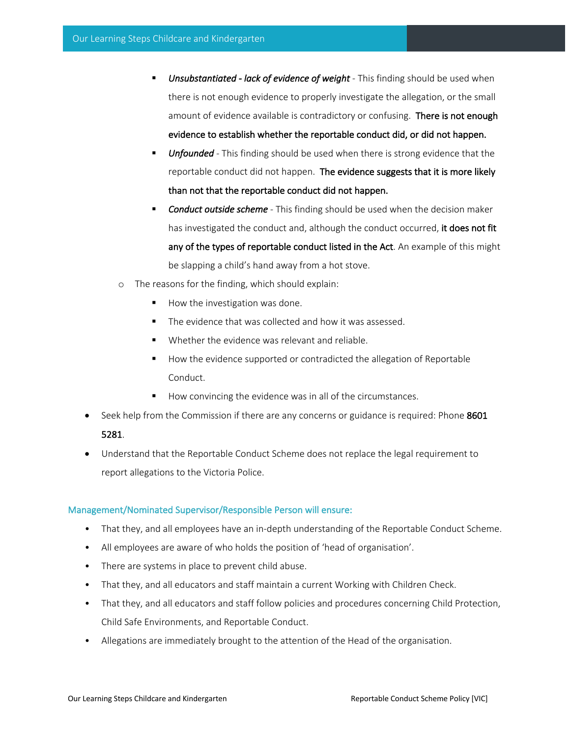- § *Unsubstantiated lack of evidence of weight* This finding should be used when there is not enough evidence to properly investigate the allegation, or the small amount of evidence available is contradictory or confusing. There is not enough evidence to establish whether the reportable conduct did, or did not happen.
- **Unfounded** This finding should be used when there is strong evidence that the reportable conduct did not happen. The evidence suggests that it is more likely than not that the reportable conduct did not happen.
- § *Conduct outside scheme -* This finding should be used when the decision maker has investigated the conduct and, although the conduct occurred, it does not fit any of the types of reportable conduct listed in the Act. An example of this might be slapping a child's hand away from a hot stove.
- o The reasons for the finding, which should explain:
	- How the investigation was done.
	- The evidence that was collected and how it was assessed.
	- Whether the evidence was relevant and reliable.
	- How the evidence supported or contradicted the allegation of Reportable Conduct.
	- How convincing the evidence was in all of the circumstances.
- Seek help from the Commission if there are any concerns or guidance is required: Phone 8601

## 5281.

• Understand that the Reportable Conduct Scheme does not replace the legal requirement to report allegations to the Victoria Police.

#### Management/Nominated Supervisor/Responsible Person will ensure:

- That they, and all employees have an in-depth understanding of the Reportable Conduct Scheme.
- All employees are aware of who holds the position of 'head of organisation'.
- There are systems in place to prevent child abuse.
- That they, and all educators and staff maintain a current Working with Children Check.
- That they, and all educators and staff follow policies and procedures concerning Child Protection, Child Safe Environments, and Reportable Conduct.
- Allegations are immediately brought to the attention of the Head of the organisation.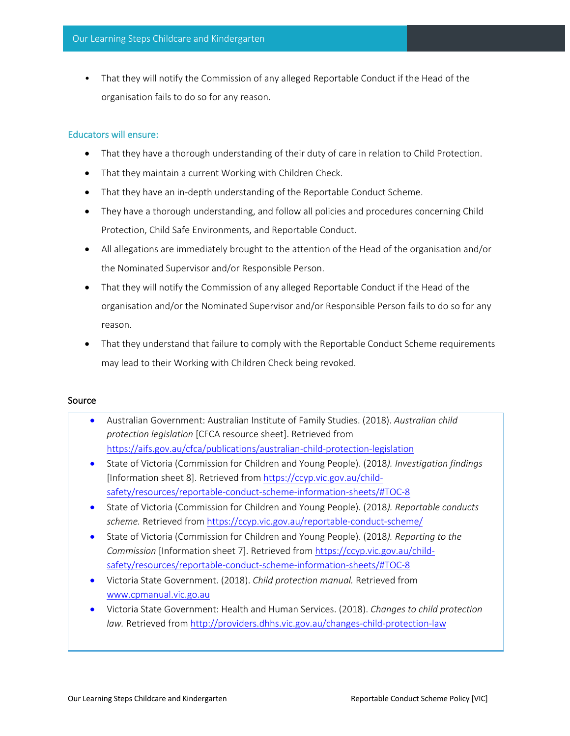• That they will notify the Commission of any alleged Reportable Conduct if the Head of the organisation fails to do so for any reason.

#### Educators will ensure:

- That they have a thorough understanding of their duty of care in relation to Child Protection.
- That they maintain a current Working with Children Check.
- That they have an in-depth understanding of the Reportable Conduct Scheme.
- They have a thorough understanding, and follow all policies and procedures concerning Child Protection, Child Safe Environments, and Reportable Conduct.
- All allegations are immediately brought to the attention of the Head of the organisation and/or the Nominated Supervisor and/or Responsible Person.
- That they will notify the Commission of any alleged Reportable Conduct if the Head of the organisation and/or the Nominated Supervisor and/or Responsible Person fails to do so for any reason.
- That they understand that failure to comply with the Reportable Conduct Scheme requirements may lead to their Working with Children Check being revoked.

#### Source

- Australian Government: Australian Institute of Family Studies. (2018). *Australian child protection legislation* [CFCA resource sheet]. Retrieved from https://aifs.gov.au/cfca/publications/australian-child-protection-legislation
- State of Victoria (Commission for Children and Young People). (2018*). Investigation findings*  [Information sheet 8]. Retrieved from https://ccyp.vic.gov.au/childsafety/resources/reportable-conduct-scheme-information-sheets/#TOC-8
- State of Victoria (Commission for Children and Young People). (2018*). Reportable conducts*  scheme. Retrieved from https://ccyp.vic.gov.au/reportable-conduct-scheme/
- State of Victoria (Commission for Children and Young People). (2018*). Reporting to the Commission* [Information sheet 7]. Retrieved from https://ccyp.vic.gov.au/childsafety/resources/reportable-conduct-scheme-information-sheets/#TOC-8
- Victoria State Government. (2018). *Child protection manual.* Retrieved from www.cpmanual.vic.go.au
- Victoria State Government: Health and Human Services. (2018). *Changes to child protection law.* Retrieved from http://providers.dhhs.vic.gov.au/changes-child-protection-law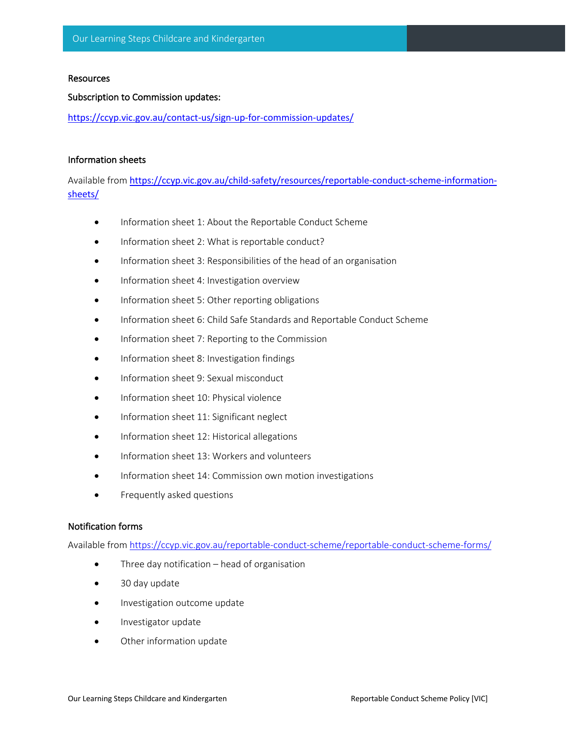#### **Resources**

#### Subscription to Commission updates:

https://ccyp.vic.gov.au/contact-us/sign-up-for-commission-updates/

#### Information sheets

Available from https://ccyp.vic.gov.au/child-safety/resources/reportable-conduct-scheme-informationsheets/

- Information sheet 1: About the Reportable Conduct Scheme
- Information sheet 2: What is reportable conduct?
- Information sheet 3: Responsibilities of the head of an organisation
- Information sheet 4: Investigation overview
- Information sheet 5: Other reporting obligations
- Information sheet 6: Child Safe Standards and Reportable Conduct Scheme
- Information sheet 7: Reporting to the Commission
- Information sheet 8: Investigation findings
- Information sheet 9: Sexual misconduct
- Information sheet 10: Physical violence
- Information sheet 11: Significant neglect
- Information sheet 12: Historical allegations
- Information sheet 13: Workers and volunteers
- Information sheet 14: Commission own motion investigations
- Frequently asked questions

## Notification forms

Available from https://ccyp.vic.gov.au/reportable-conduct-scheme/reportable-conduct-scheme-forms/

- Three day notification  $-$  head of organisation
- 30 day update
- Investigation outcome update
- Investigator update
- Other information update